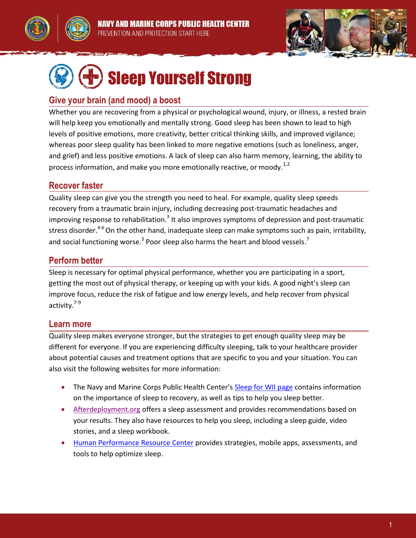





# Sleep Yourself Strong

### **Give your brain (and mood) a boost**

Whether you are recovering from a physical or psychological wound, injury, or illness, a rested brain will help keep you emotionally and mentally strong. Good sleep has been shown to lead to high levels of positive emotions, more creativity, better critical thinking skills, and improved vigilance; whereas poor sleep quality has been linked to more negative emotions (such as loneliness, anger, and grief) and less positive emotions. A lack of sleep can also harm memory, learning, the ability to process information, and make you more emotionally reactive, or moody. $^{1,2}$ 

#### **Recover faster**

Quality sleep can give you the strength you need to heal. For example, quality sleep speeds recovery from a traumatic brain injury, including decreasing post-traumatic headaches and improving response to rehabilitation.<sup>3</sup> It also improves symptoms of depression and post-traumatic stress disorder.<sup>4-6</sup> On the other hand, inadequate sleep can make symptoms such as pain, irritability, and social functioning worse.<sup>3</sup> Poor sleep also harms the heart and blood vessels.<sup>7</sup>

## **Perform better**

Sleep is necessary for optimal physical performance, whether you are participating in a sport, getting the most out of physical therapy, or keeping up with your kids. A good night's sleep can improve focus, reduce the risk of fatigue and low energy levels, and help recover from physical activity.<sup>7-9</sup>

#### **Learn more**

Quality sleep makes everyone stronger, but the strategies to get enough quality sleep may be different for everyone. If you are experiencing difficulty sleeping, talk to your healthcare provider about potential causes and treatment options that are specific to you and your situation. You can also visit the following websites for more information:

- The Navy and Marine Corps Public Health Center's [Sleep for WII page](http://www.med.navy.mil/sites/nmcphc/health-promotion/Pages/Wii-sleep.aspx) contains information on the importance of sleep to recovery, as well as tips to help you sleep better.
- [Afterdeployment.org](http://afterdeployment.dcoe.mil/topics-sleep) offers a sleep assessment and provides recommendations based on your results. They also have resources to help you sleep, including a sleep guide, video stories, and a sleep workbook.
- [Human Performance Resource Center](http://hprc-online.org/mind-tactics/sleep-optimization-1) provides strategies, mobile apps, assessments, and tools to help optimize sleep.